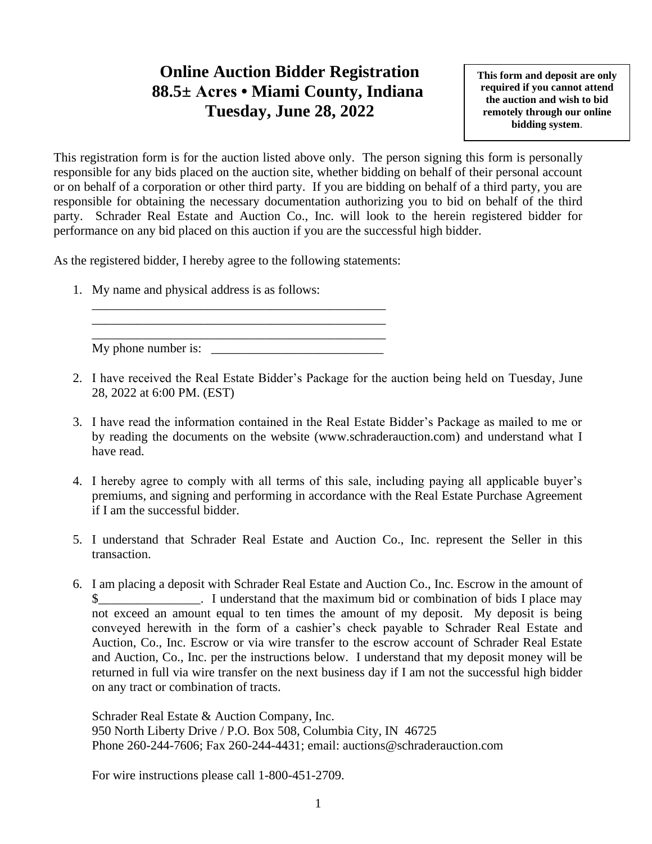## **Online Auction Bidder Registration 88.5± Acres • Miami County, Indiana Tuesday, June 28, 2022**

**This form and deposit are only required if you cannot attend the auction and wish to bid remotely through our online bidding system**.

This registration form is for the auction listed above only. The person signing this form is personally responsible for any bids placed on the auction site, whether bidding on behalf of their personal account or on behalf of a corporation or other third party. If you are bidding on behalf of a third party, you are responsible for obtaining the necessary documentation authorizing you to bid on behalf of the third party. Schrader Real Estate and Auction Co., Inc. will look to the herein registered bidder for performance on any bid placed on this auction if you are the successful high bidder.

As the registered bidder, I hereby agree to the following statements:

\_\_\_\_\_\_\_\_\_\_\_\_\_\_\_\_\_\_\_\_\_\_\_\_\_\_\_\_\_\_\_\_\_\_\_\_\_\_\_\_\_\_\_\_\_\_ \_\_\_\_\_\_\_\_\_\_\_\_\_\_\_\_\_\_\_\_\_\_\_\_\_\_\_\_\_\_\_\_\_\_\_\_\_\_\_\_\_\_\_\_\_\_

1. My name and physical address is as follows:

\_\_\_\_\_\_\_\_\_\_\_\_\_\_\_\_\_\_\_\_\_\_\_\_\_\_\_\_\_\_\_\_\_\_\_\_\_\_\_\_\_\_\_\_\_\_ My phone number is:

- 2. I have received the Real Estate Bidder's Package for the auction being held on Tuesday, June 28, 2022 at 6:00 PM. (EST)
- 3. I have read the information contained in the Real Estate Bidder's Package as mailed to me or by reading the documents on the website (www.schraderauction.com) and understand what I have read.
- 4. I hereby agree to comply with all terms of this sale, including paying all applicable buyer's premiums, and signing and performing in accordance with the Real Estate Purchase Agreement if I am the successful bidder.
- 5. I understand that Schrader Real Estate and Auction Co., Inc. represent the Seller in this transaction.
- 6. I am placing a deposit with Schrader Real Estate and Auction Co., Inc. Escrow in the amount of I understand that the maximum bid or combination of bids I place may not exceed an amount equal to ten times the amount of my deposit. My deposit is being conveyed herewith in the form of a cashier's check payable to Schrader Real Estate and Auction, Co., Inc. Escrow or via wire transfer to the escrow account of Schrader Real Estate and Auction, Co., Inc. per the instructions below. I understand that my deposit money will be returned in full via wire transfer on the next business day if I am not the successful high bidder on any tract or combination of tracts.

Schrader Real Estate & Auction Company, Inc. 950 North Liberty Drive / P.O. Box 508, Columbia City, IN 46725 Phone 260-244-7606; Fax 260-244-4431; email: auctions@schraderauction.com

For wire instructions please call 1-800-451-2709.